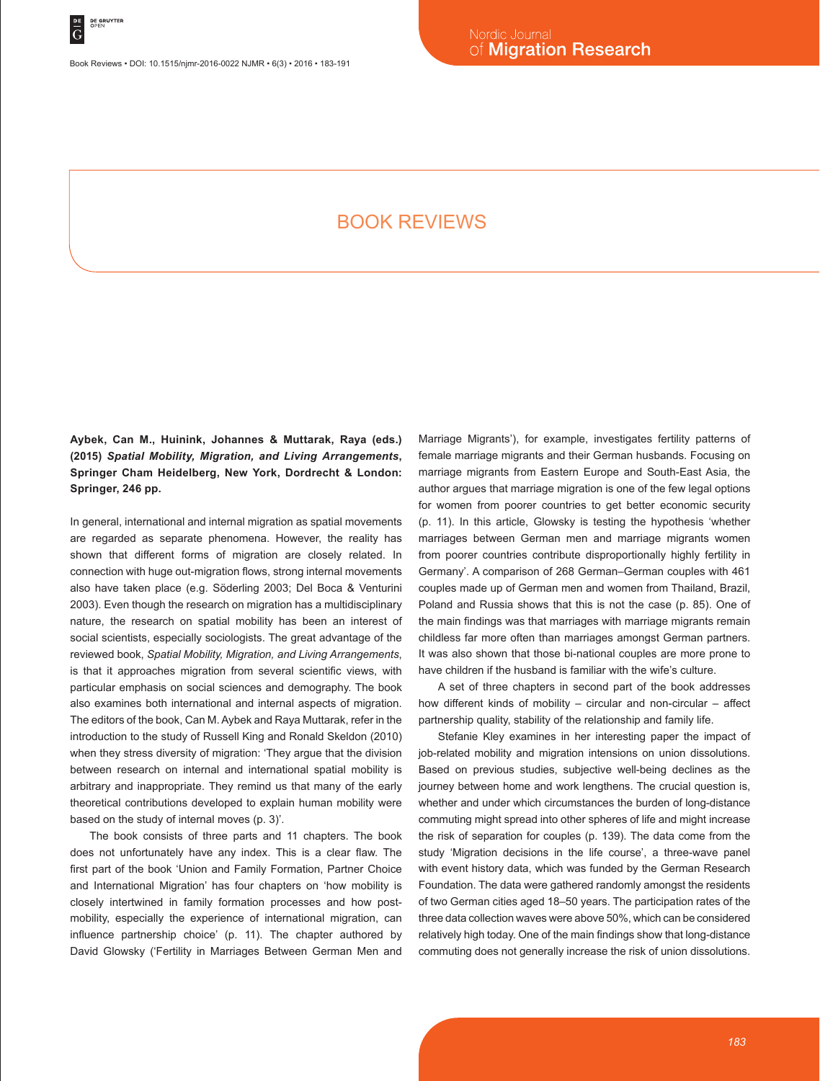Book Reviews • DOI: 10.1515/njmr-2016-0022 NJMR • 6(3) • 2016 • 183-191

# BOOK REVIEWS

**Aybek, Can M., Huinink, Johannes & Muttarak, Raya (eds.) (2015)** *Spatial Mobility, Migration, and Living Arrangements***, Springer Cham Heidelberg, New York, Dordrecht & London: Springer, 246 pp.**

In general, international and internal migration as spatial movements are regarded as separate phenomena. However, the reality has shown that different forms of migration are closely related. In connection with huge out-migration flows, strong internal movements also have taken place (e.g. Söderling 2003; Del Boca & Venturini 2003). Even though the research on migration has a multidisciplinary nature, the research on spatial mobility has been an interest of social scientists, especially sociologists. The great advantage of the reviewed book, *Spatial Mobility, Migration, and Living Arrangements*, is that it approaches migration from several scientific views, with particular emphasis on social sciences and demography. The book also examines both international and internal aspects of migration. The editors of the book, Can M. Aybek and Raya Muttarak, refer in the introduction to the study of Russell King and Ronald Skeldon (2010) when they stress diversity of migration: 'They argue that the division between research on internal and international spatial mobility is arbitrary and inappropriate. They remind us that many of the early theoretical contributions developed to explain human mobility were based on the study of internal moves (p. 3)'.

The book consists of three parts and 11 chapters. The book does not unfortunately have any index. This is a clear flaw. The first part of the book 'Union and Family Formation, Partner Choice and International Migration' has four chapters on 'how mobility is closely intertwined in family formation processes and how postmobility, especially the experience of international migration, can influence partnership choice' (p. 11). The chapter authored by David Glowsky ('Fertility in Marriages Between German Men and Marriage Migrants'), for example, investigates fertility patterns of female marriage migrants and their German husbands. Focusing on marriage migrants from Eastern Europe and South-East Asia, the author argues that marriage migration is one of the few legal options for women from poorer countries to get better economic security (p. 11). In this article, Glowsky is testing the hypothesis 'whether marriages between German men and marriage migrants women from poorer countries contribute disproportionally highly fertility in Germany'. A comparison of 268 German–German couples with 461 couples made up of German men and women from Thailand, Brazil, Poland and Russia shows that this is not the case (p. 85). One of the main findings was that marriages with marriage migrants remain childless far more often than marriages amongst German partners. It was also shown that those bi-national couples are more prone to have children if the husband is familiar with the wife's culture.

A set of three chapters in second part of the book addresses how different kinds of mobility – circular and non-circular – affect partnership quality, stability of the relationship and family life.

Stefanie Kley examines in her interesting paper the impact of job-related mobility and migration intensions on union dissolutions. Based on previous studies, subjective well-being declines as the journey between home and work lengthens. The crucial question is, whether and under which circumstances the burden of long-distance commuting might spread into other spheres of life and might increase the risk of separation for couples (p. 139). The data come from the study 'Migration decisions in the life course', a three-wave panel with event history data, which was funded by the German Research Foundation. The data were gathered randomly amongst the residents of two German cities aged 18–50 years. The participation rates of the three data collection waves were above 50%, which can be considered relatively high today. One of the main findings show that long-distance commuting does not generally increase the risk of union dissolutions.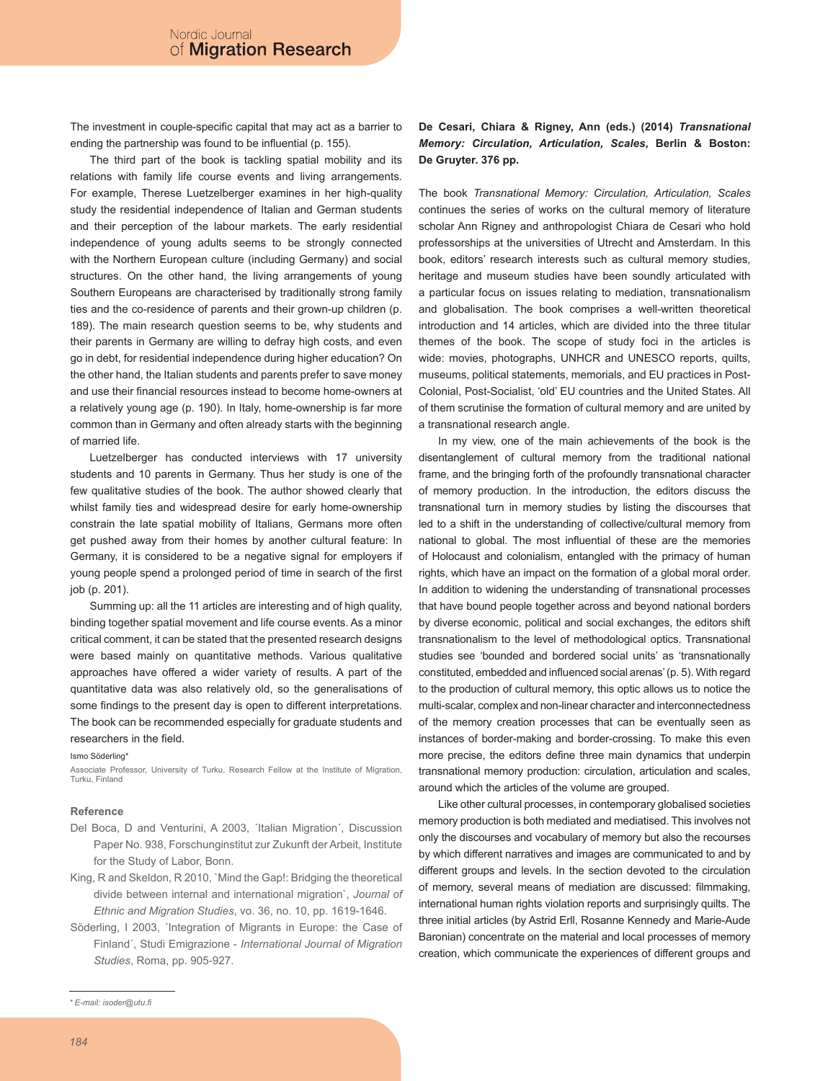The investment in couple-specific capital that may act as a barrier to ending the partnership was found to be influential (p. 155).

The third part of the book is tackling spatial mobility and its relations with family life course events and living arrangements. For example, Therese Luetzelberger examines in her high-quality study the residential independence of Italian and German students and their perception of the labour markets. The early residential independence of young adults seems to be strongly connected with the Northern European culture (including Germany) and social structures. On the other hand, the living arrangements of young Southern Europeans are characterised by traditionally strong family ties and the co-residence of parents and their grown-up children (p. 189). The main research question seems to be, why students and their parents in Germany are willing to defray high costs, and even go in debt, for residential independence during higher education? On the other hand, the Italian students and parents prefer to save money and use their financial resources instead to become home-owners at a relatively young age (p. 190). In Italy, home-ownership is far more common than in Germany and often already starts with the beginning of married life.

Luetzelberger has conducted interviews with 17 university students and 10 parents in Germany. Thus her study is one of the few qualitative studies of the book. The author showed clearly that whilst family ties and widespread desire for early home-ownership constrain the late spatial mobility of Italians, Germans more often get pushed away from their homes by another cultural feature: In Germany, it is considered to be a negative signal for employers if young people spend a prolonged period of time in search of the first job (p. 201).

Summing up: all the 11 articles are interesting and of high quality, binding together spatial movement and life course events. As a minor critical comment, it can be stated that the presented research designs were based mainly on quantitative methods. Various qualitative approaches have offered a wider variety of results. A part of the quantitative data was also relatively old, so the generalisations of some findings to the present day is open to different interpretations. The book can be recommended especially for graduate students and researchers in the field.

#### Ismo Söderling\*

Associate Professor, University of Turku, Research Fellow at the Institute of Migration, Turku, Finland

### **Reference**

- Del Boca, D and Venturini, A 2003, ´Italian Migration´, Discussion Paper No. 938, Forschunginstitut zur Zukunft der Arbeit, Institute for the Study of Labor, Bonn.
- King, R and Skeldon, R 2010, `Mind the Gap!: Bridging the theoretical divide between internal and international migration`, *Journal of Ethnic and Migration Studies*, vo. 36, no. 10, pp. 1619-1646.
- Söderling, I 2003, 'Integration of Migrants in Europe: the Case of Finland´, Studi Emigrazione - *International Journal of Migration Studies*, Roma, pp. 905-927.

*\* E-mail: isoder@utu.fi*

### **De Cesari, Chiara & Rigney, Ann (eds.) (2014)** *Transnational Memory: Circulation, Articulation, Scales***, Berlin & Boston: De Gruyter. 376 pp.**

The book *Transnational Memory: Circulation, Articulation, Scales* continues the series of works on the cultural memory of literature scholar Ann Rigney and anthropologist Chiara de Cesari who hold professorships at the universities of Utrecht and Amsterdam. In this book, editors' research interests such as cultural memory studies, heritage and museum studies have been soundly articulated with a particular focus on issues relating to mediation, transnationalism and globalisation. The book comprises a well-written theoretical introduction and 14 articles, which are divided into the three titular themes of the book. The scope of study foci in the articles is wide: movies, photographs, UNHCR and UNESCO reports, quilts, museums, political statements, memorials, and EU practices in Post-Colonial, Post-Socialist, 'old' EU countries and the United States. All of them scrutinise the formation of cultural memory and are united by a transnational research angle.

In my view, one of the main achievements of the book is the disentanglement of cultural memory from the traditional national frame, and the bringing forth of the profoundly transnational character of memory production. In the introduction, the editors discuss the transnational turn in memory studies by listing the discourses that led to a shift in the understanding of collective/cultural memory from national to global. The most influential of these are the memories of Holocaust and colonialism, entangled with the primacy of human rights, which have an impact on the formation of a global moral order. In addition to widening the understanding of transnational processes that have bound people together across and beyond national borders by diverse economic, political and social exchanges, the editors shift transnationalism to the level of methodological optics. Transnational studies see 'bounded and bordered social units' as 'transnationally constituted, embedded and influenced social arenas' (p. 5). With regard to the production of cultural memory, this optic allows us to notice the multi-scalar, complex and non-linear character and interconnectedness of the memory creation processes that can be eventually seen as instances of border-making and border-crossing. To make this even more precise, the editors define three main dynamics that underpin transnational memory production: circulation, articulation and scales, around which the articles of the volume are grouped.

Like other cultural processes, in contemporary globalised societies memory production is both mediated and mediatised. This involves not only the discourses and vocabulary of memory but also the recourses by which different narratives and images are communicated to and by different groups and levels. In the section devoted to the circulation of memory, several means of mediation are discussed: filmmaking, international human rights violation reports and surprisingly quilts. The three initial articles (by Astrid Erll, Rosanne Kennedy and Marie-Aude Baronian) concentrate on the material and local processes of memory creation, which communicate the experiences of different groups and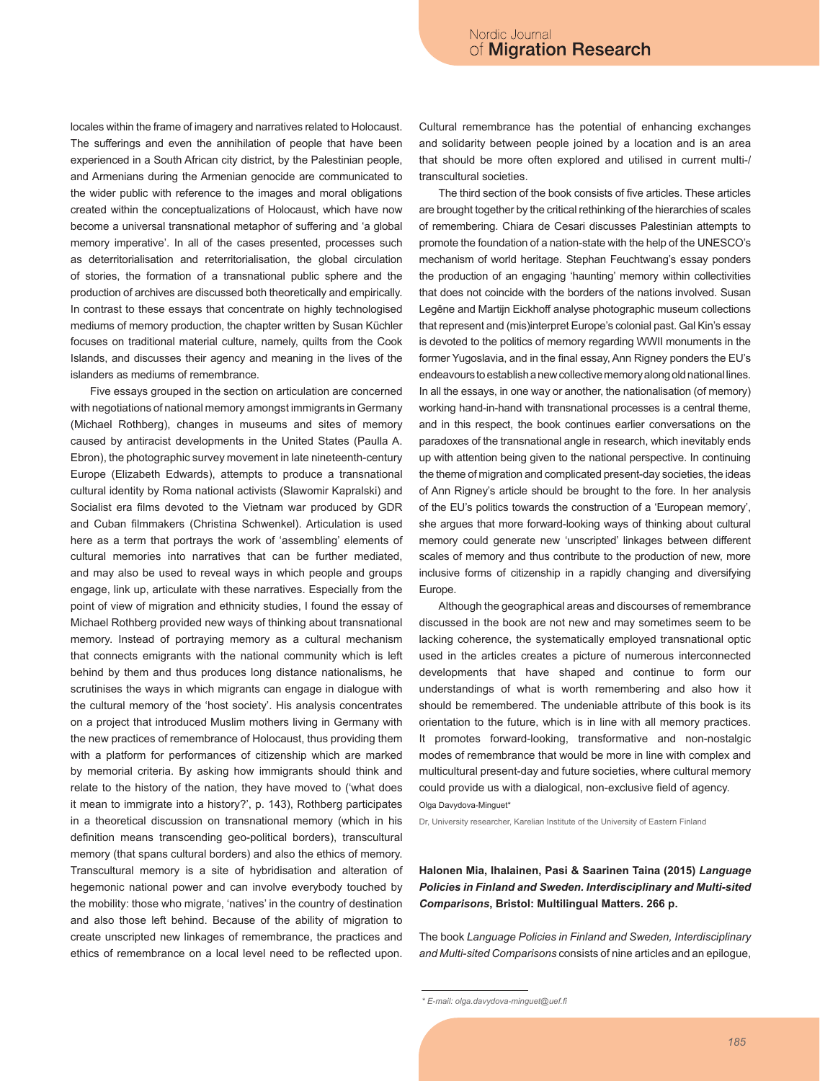locales within the frame of imagery and narratives related to Holocaust. The sufferings and even the annihilation of people that have been experienced in a South African city district, by the Palestinian people, and Armenians during the Armenian genocide are communicated to the wider public with reference to the images and moral obligations created within the conceptualizations of Holocaust, which have now become a universal transnational metaphor of suffering and 'a global memory imperative'. In all of the cases presented, processes such as deterritorialisation and reterritorialisation, the global circulation of stories, the formation of a transnational public sphere and the production of archives are discussed both theoretically and empirically. In contrast to these essays that concentrate on highly technologised mediums of memory production, the chapter written by Susan Küchler focuses on traditional material culture, namely, quilts from the Cook Islands, and discusses their agency and meaning in the lives of the islanders as mediums of remembrance.

Five essays grouped in the section on articulation are concerned with negotiations of national memory amongst immigrants in Germany (Michael Rothberg), changes in museums and sites of memory caused by antiracist developments in the United States (Paulla A. Ebron), the photographic survey movement in late nineteenth-century Europe (Elizabeth Edwards), attempts to produce a transnational cultural identity by Roma national activists (Slawomir Kapralski) and Socialist era films devoted to the Vietnam war produced by GDR and Cuban filmmakers (Christina Schwenkel). Articulation is used here as a term that portrays the work of 'assembling' elements of cultural memories into narratives that can be further mediated, and may also be used to reveal ways in which people and groups engage, link up, articulate with these narratives. Especially from the point of view of migration and ethnicity studies, I found the essay of Michael Rothberg provided new ways of thinking about transnational memory. Instead of portraying memory as a cultural mechanism that connects emigrants with the national community which is left behind by them and thus produces long distance nationalisms, he scrutinises the ways in which migrants can engage in dialogue with the cultural memory of the 'host society'. His analysis concentrates on a project that introduced Muslim mothers living in Germany with the new practices of remembrance of Holocaust, thus providing them with a platform for performances of citizenship which are marked by memorial criteria. By asking how immigrants should think and relate to the history of the nation, they have moved to ('what does it mean to immigrate into a history?', p. 143), Rothberg participates in a theoretical discussion on transnational memory (which in his definition means transcending geo-political borders), transcultural memory (that spans cultural borders) and also the ethics of memory. Transcultural memory is a site of hybridisation and alteration of hegemonic national power and can involve everybody touched by the mobility: those who migrate, 'natives' in the country of destination and also those left behind. Because of the ability of migration to create unscripted new linkages of remembrance, the practices and ethics of remembrance on a local level need to be reflected upon.

Cultural remembrance has the potential of enhancing exchanges and solidarity between people joined by a location and is an area that should be more often explored and utilised in current multi-/ transcultural societies.

The third section of the book consists of five articles. These articles are brought together by the critical rethinking of the hierarchies of scales of remembering. Chiara de Cesari discusses Palestinian attempts to promote the foundation of a nation-state with the help of the UNESCO's mechanism of world heritage. Stephan Feuchtwang's essay ponders the production of an engaging 'haunting' memory within collectivities that does not coincide with the borders of the nations involved. Susan Legêne and Martijn Eickhoff analyse photographic museum collections that represent and (mis)interpret Europe's colonial past. Gal Kin's essay is devoted to the politics of memory regarding WWII monuments in the former Yugoslavia, and in the final essay, Ann Rigney ponders the EU's endeavours to establish a new collective memory along old national lines. In all the essays, in one way or another, the nationalisation (of memory) working hand-in-hand with transnational processes is a central theme, and in this respect, the book continues earlier conversations on the paradoxes of the transnational angle in research, which inevitably ends up with attention being given to the national perspective. In continuing the theme of migration and complicated present-day societies, the ideas of Ann Rigney's article should be brought to the fore. In her analysis of the EU's politics towards the construction of a 'European memory', she argues that more forward-looking ways of thinking about cultural memory could generate new 'unscripted' linkages between different scales of memory and thus contribute to the production of new, more inclusive forms of citizenship in a rapidly changing and diversifying Europe.

Although the geographical areas and discourses of remembrance discussed in the book are not new and may sometimes seem to be lacking coherence, the systematically employed transnational optic used in the articles creates a picture of numerous interconnected developments that have shaped and continue to form our understandings of what is worth remembering and also how it should be remembered. The undeniable attribute of this book is its orientation to the future, which is in line with all memory practices. It promotes forward-looking, transformative and non-nostalgic modes of remembrance that would be more in line with complex and multicultural present-day and future societies, where cultural memory could provide us with a dialogical, non-exclusive field of agency. Olga Davydova-Minguet\*

Dr, University researcher, Karelian Institute of the University of Eastern Finland

### **Halonen Mia, Ihalainen, Pasi & Saarinen Taina (2015)** *Language Policies in Finland and Sweden. Interdisciplinary and Multi-sited Comparisons***, Bristol: Multilingual Matters. 266 p.**

The book *Language Policies in Finland and Sweden, Interdisciplinary and Multi-sited Comparisons* consists of nine articles and an epilogue,

*<sup>\*</sup> E-mail: olga.davydova-minguet@uef.fi*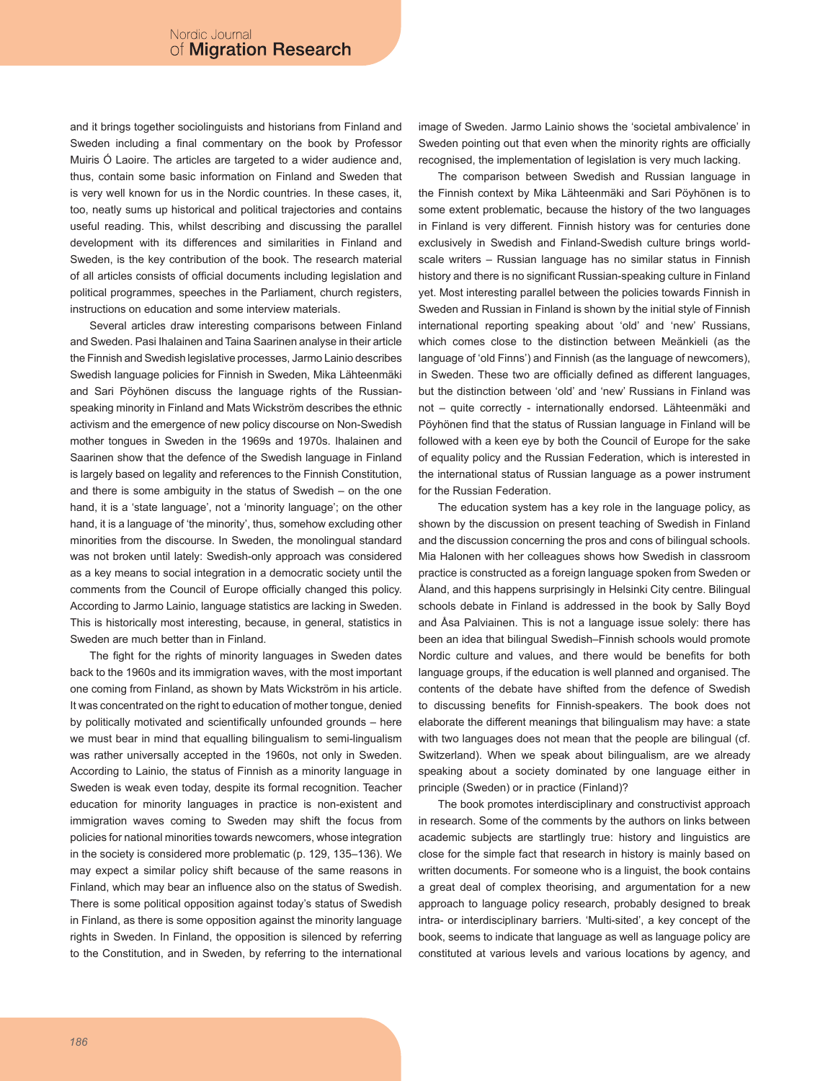and it brings together sociolinguists and historians from Finland and Sweden including a final commentary on the book by Professor Muiris Ó Laoire. The articles are targeted to a wider audience and, thus, contain some basic information on Finland and Sweden that is very well known for us in the Nordic countries. In these cases, it, too, neatly sums up historical and political trajectories and contains useful reading. This, whilst describing and discussing the parallel development with its differences and similarities in Finland and Sweden, is the key contribution of the book. The research material of all articles consists of official documents including legislation and political programmes, speeches in the Parliament, church registers, instructions on education and some interview materials.

Several articles draw interesting comparisons between Finland and Sweden. Pasi Ihalainen and Taina Saarinen analyse in their article the Finnish and Swedish legislative processes, Jarmo Lainio describes Swedish language policies for Finnish in Sweden, Mika Lähteenmäki and Sari Pöyhönen discuss the language rights of the Russianspeaking minority in Finland and Mats Wickström describes the ethnic activism and the emergence of new policy discourse on Non-Swedish mother tongues in Sweden in the 1969s and 1970s. Ihalainen and Saarinen show that the defence of the Swedish language in Finland is largely based on legality and references to the Finnish Constitution, and there is some ambiguity in the status of Swedish – on the one hand, it is a 'state language', not a 'minority language'; on the other hand, it is a language of 'the minority', thus, somehow excluding other minorities from the discourse. In Sweden, the monolingual standard was not broken until lately: Swedish-only approach was considered as a key means to social integration in a democratic society until the comments from the Council of Europe officially changed this policy. According to Jarmo Lainio, language statistics are lacking in Sweden. This is historically most interesting, because, in general, statistics in Sweden are much better than in Finland.

The fight for the rights of minority languages in Sweden dates back to the 1960s and its immigration waves, with the most important one coming from Finland, as shown by Mats Wickström in his article. It was concentrated on the right to education of mother tongue, denied by politically motivated and scientifically unfounded grounds – here we must bear in mind that equalling bilingualism to semi-lingualism was rather universally accepted in the 1960s, not only in Sweden. According to Lainio, the status of Finnish as a minority language in Sweden is weak even today, despite its formal recognition. Teacher education for minority languages in practice is non-existent and immigration waves coming to Sweden may shift the focus from policies for national minorities towards newcomers, whose integration in the society is considered more problematic (p. 129, 135–136). We may expect a similar policy shift because of the same reasons in Finland, which may bear an influence also on the status of Swedish. There is some political opposition against today's status of Swedish in Finland, as there is some opposition against the minority language rights in Sweden. In Finland, the opposition is silenced by referring to the Constitution, and in Sweden, by referring to the international image of Sweden. Jarmo Lainio shows the 'societal ambivalence' in Sweden pointing out that even when the minority rights are officially recognised, the implementation of legislation is very much lacking.

The comparison between Swedish and Russian language in the Finnish context by Mika Lähteenmäki and Sari Pöyhönen is to some extent problematic, because the history of the two languages in Finland is very different. Finnish history was for centuries done exclusively in Swedish and Finland-Swedish culture brings worldscale writers – Russian language has no similar status in Finnish history and there is no significant Russian-speaking culture in Finland yet. Most interesting parallel between the policies towards Finnish in Sweden and Russian in Finland is shown by the initial style of Finnish international reporting speaking about 'old' and 'new' Russians, which comes close to the distinction between Meänkieli (as the language of 'old Finns') and Finnish (as the language of newcomers), in Sweden. These two are officially defined as different languages, but the distinction between 'old' and 'new' Russians in Finland was not – quite correctly - internationally endorsed. Lähteenmäki and Pöyhönen find that the status of Russian language in Finland will be followed with a keen eye by both the Council of Europe for the sake of equality policy and the Russian Federation, which is interested in the international status of Russian language as a power instrument for the Russian Federation.

The education system has a key role in the language policy, as shown by the discussion on present teaching of Swedish in Finland and the discussion concerning the pros and cons of bilingual schools. Mia Halonen with her colleagues shows how Swedish in classroom practice is constructed as a foreign language spoken from Sweden or Åland, and this happens surprisingly in Helsinki City centre. Bilingual schools debate in Finland is addressed in the book by Sally Boyd and Åsa Palviainen. This is not a language issue solely: there has been an idea that bilingual Swedish–Finnish schools would promote Nordic culture and values, and there would be benefits for both language groups, if the education is well planned and organised. The contents of the debate have shifted from the defence of Swedish to discussing benefits for Finnish-speakers. The book does not elaborate the different meanings that bilingualism may have: a state with two languages does not mean that the people are bilingual (cf. Switzerland). When we speak about bilingualism, are we already speaking about a society dominated by one language either in principle (Sweden) or in practice (Finland)?

The book promotes interdisciplinary and constructivist approach in research. Some of the comments by the authors on links between academic subjects are startlingly true: history and linguistics are close for the simple fact that research in history is mainly based on written documents. For someone who is a linguist, the book contains a great deal of complex theorising, and argumentation for a new approach to language policy research, probably designed to break intra- or interdisciplinary barriers. 'Multi-sited', a key concept of the book, seems to indicate that language as well as language policy are constituted at various levels and various locations by agency, and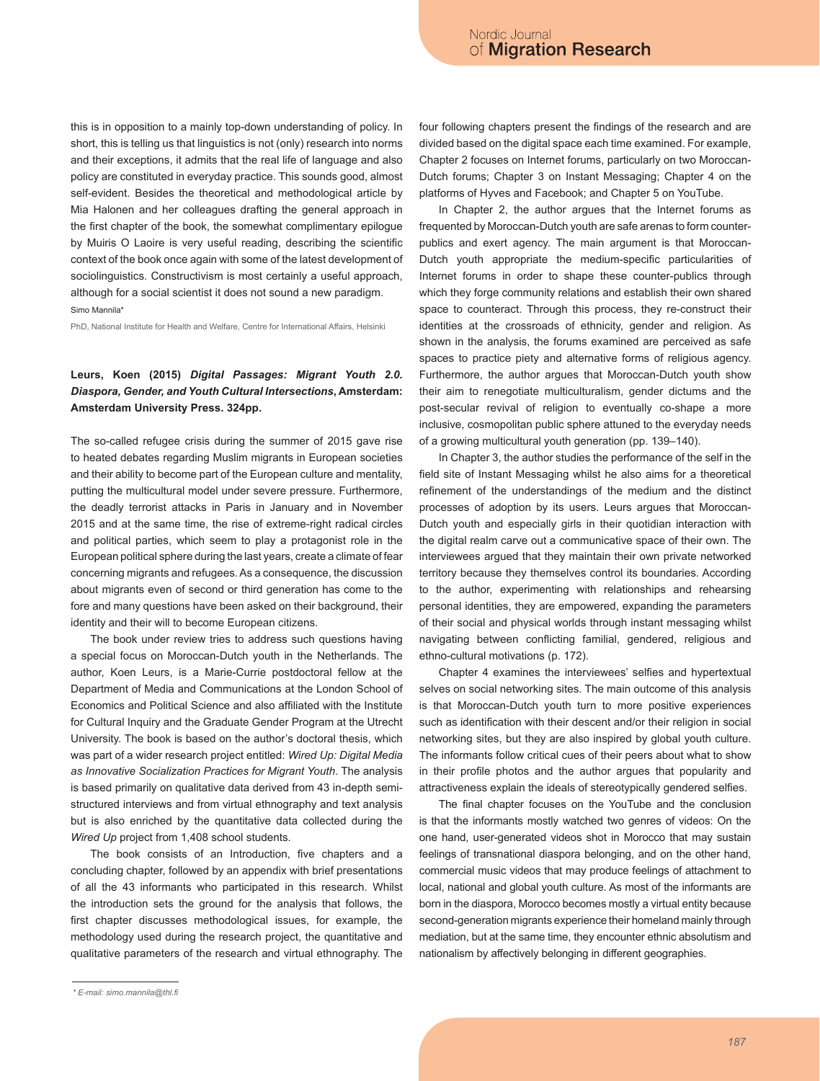this is in opposition to a mainly top-down understanding of policy. In short, this is telling us that linguistics is not (only) research into norms and their exceptions, it admits that the real life of language and also policy are constituted in everyday practice. This sounds good, almost self-evident. Besides the theoretical and methodological article by Mia Halonen and her colleagues drafting the general approach in the first chapter of the book, the somewhat complimentary epilogue by Muiris O Laoire is very useful reading, describing the scientific context of the book once again with some of the latest development of sociolinguistics. Constructivism is most certainly a useful approach, although for a social scientist it does not sound a new paradigm. Simo Mannila\*

PhD, National Institute for Health and Welfare, Centre for International Affairs, Helsinki

# **Leurs, Koen (2015)** *Digital Passages: Migrant Youth 2.0. Diaspora, Gender, and Youth Cultural Intersections***, Amsterdam: Amsterdam University Press. 324pp.**

The so-called refugee crisis during the summer of 2015 gave rise to heated debates regarding Muslim migrants in European societies and their ability to become part of the European culture and mentality, putting the multicultural model under severe pressure. Furthermore, the deadly terrorist attacks in Paris in January and in November 2015 and at the same time, the rise of extreme-right radical circles and political parties, which seem to play a protagonist role in the European political sphere during the last years, create a climate of fear concerning migrants and refugees. As a consequence, the discussion about migrants even of second or third generation has come to the fore and many questions have been asked on their background, their identity and their will to become European citizens.

The book under review tries to address such questions having a special focus on Moroccan-Dutch youth in the Netherlands. The author, Koen Leurs, is a Marie-Currie postdoctoral fellow at the Department of Media and Communications at the London School of Economics and Political Science and also affiliated with the Institute for Cultural Inquiry and the Graduate Gender Program at the Utrecht University. The book is based on the author's doctoral thesis, which was part of a wider research project entitled: *Wired Up: Digital Media as Innovative Socialization Practices for Migrant Youth*. The analysis is based primarily on qualitative data derived from 43 in-depth semistructured interviews and from virtual ethnography and text analysis but is also enriched by the quantitative data collected during the *Wired Up* project from 1,408 school students.

The book consists of an Introduction, five chapters and a concluding chapter, followed by an appendix with brief presentations of all the 43 informants who participated in this research. Whilst the introduction sets the ground for the analysis that follows, the first chapter discusses methodological issues, for example, the methodology used during the research project, the quantitative and qualitative parameters of the research and virtual ethnography. The

*\* E-mail: simo.mannila@thl.fi*

four following chapters present the findings of the research and are divided based on the digital space each time examined. For example, Chapter 2 focuses on Internet forums, particularly on two Moroccan-Dutch forums; Chapter 3 on Instant Messaging; Chapter 4 on the platforms of Hyves and Facebook; and Chapter 5 on YouTube.

In Chapter 2, the author argues that the Internet forums as frequented by Moroccan-Dutch youth are safe arenas to form counterpublics and exert agency. The main argument is that Moroccan-Dutch youth appropriate the medium-specific particularities of Internet forums in order to shape these counter-publics through which they forge community relations and establish their own shared space to counteract. Through this process, they re-construct their identities at the crossroads of ethnicity, gender and religion. As shown in the analysis, the forums examined are perceived as safe spaces to practice piety and alternative forms of religious agency. Furthermore, the author argues that Moroccan-Dutch youth show their aim to renegotiate multiculturalism, gender dictums and the post-secular revival of religion to eventually co-shape a more inclusive, cosmopolitan public sphere attuned to the everyday needs of a growing multicultural youth generation (pp. 139–140).

In Chapter 3, the author studies the performance of the self in the field site of Instant Messaging whilst he also aims for a theoretical refinement of the understandings of the medium and the distinct processes of adoption by its users. Leurs argues that Moroccan-Dutch youth and especially girls in their quotidian interaction with the digital realm carve out a communicative space of their own. The interviewees argued that they maintain their own private networked territory because they themselves control its boundaries. According to the author, experimenting with relationships and rehearsing personal identities, they are empowered, expanding the parameters of their social and physical worlds through instant messaging whilst navigating between conflicting familial, gendered, religious and ethno-cultural motivations (p. 172).

Chapter 4 examines the interviewees' selfies and hypertextual selves on social networking sites. The main outcome of this analysis is that Moroccan-Dutch youth turn to more positive experiences such as identification with their descent and/or their religion in social networking sites, but they are also inspired by global youth culture. The informants follow critical cues of their peers about what to show in their profile photos and the author argues that popularity and attractiveness explain the ideals of stereotypically gendered selfies.

The final chapter focuses on the YouTube and the conclusion is that the informants mostly watched two genres of videos: On the one hand, user-generated videos shot in Morocco that may sustain feelings of transnational diaspora belonging, and on the other hand, commercial music videos that may produce feelings of attachment to local, national and global youth culture. As most of the informants are born in the diaspora, Morocco becomes mostly a virtual entity because second-generation migrants experience their homeland mainly through mediation, but at the same time, they encounter ethnic absolutism and nationalism by affectively belonging in different geographies.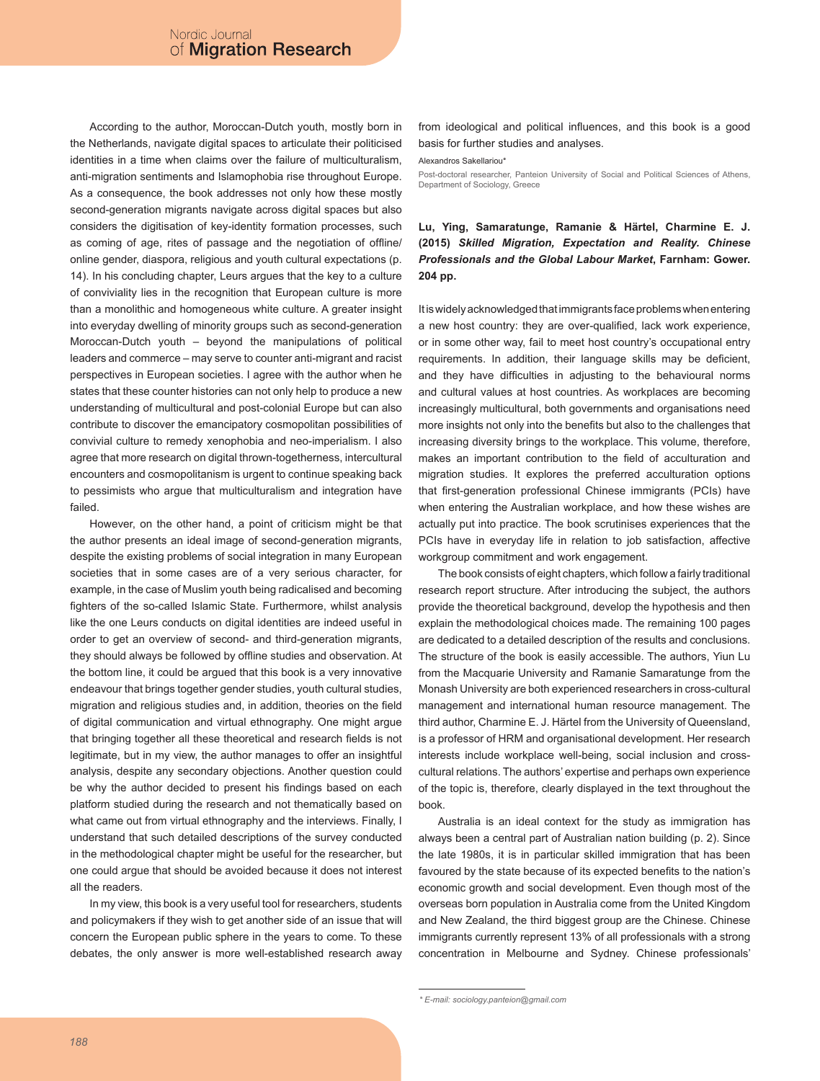According to the author, Moroccan-Dutch youth, mostly born in the Netherlands, navigate digital spaces to articulate their politicised identities in a time when claims over the failure of multiculturalism, anti-migration sentiments and Islamophobia rise throughout Europe. As a consequence, the book addresses not only how these mostly second-generation migrants navigate across digital spaces but also considers the digitisation of key-identity formation processes, such as coming of age, rites of passage and the negotiation of offline/ online gender, diaspora, religious and youth cultural expectations (p. 14). In his concluding chapter, Leurs argues that the key to a culture of conviviality lies in the recognition that European culture is more than a monolithic and homogeneous white culture. A greater insight into everyday dwelling of minority groups such as second-generation Moroccan-Dutch youth – beyond the manipulations of political leaders and commerce – may serve to counter anti-migrant and racist perspectives in European societies. I agree with the author when he states that these counter histories can not only help to produce a new understanding of multicultural and post-colonial Europe but can also contribute to discover the emancipatory cosmopolitan possibilities of convivial culture to remedy xenophobia and neo-imperialism. I also agree that more research on digital thrown-togetherness, intercultural encounters and cosmopolitanism is urgent to continue speaking back to pessimists who argue that multiculturalism and integration have failed.

However, on the other hand, a point of criticism might be that the author presents an ideal image of second-generation migrants, despite the existing problems of social integration in many European societies that in some cases are of a very serious character, for example, in the case of Muslim youth being radicalised and becoming fighters of the so-called Islamic State. Furthermore, whilst analysis like the one Leurs conducts on digital identities are indeed useful in order to get an overview of second- and third-generation migrants, they should always be followed by offline studies and observation. At the bottom line, it could be argued that this book is a very innovative endeavour that brings together gender studies, youth cultural studies, migration and religious studies and, in addition, theories on the field of digital communication and virtual ethnography. One might argue that bringing together all these theoretical and research fields is not legitimate, but in my view, the author manages to offer an insightful analysis, despite any secondary objections. Another question could be why the author decided to present his findings based on each platform studied during the research and not thematically based on what came out from virtual ethnography and the interviews. Finally, I understand that such detailed descriptions of the survey conducted in the methodological chapter might be useful for the researcher, but one could argue that should be avoided because it does not interest all the readers.

In my view, this book is a very useful tool for researchers, students and policymakers if they wish to get another side of an issue that will concern the European public sphere in the years to come. To these debates, the only answer is more well-established research away from ideological and political influences, and this book is a good basis for further studies and analyses.

Alexandros Sakellariou\*

Post-doctoral researcher, Panteion University of Social and Political Sciences of Athens. Department of Sociology, Greece

# **Lu, Ying, Samaratunge, Ramanie & Härtel, Charmine E. J. (2015)** *Skilled Migration, Expectation and Reality. Chinese Professionals and the Global Labour Market***, Farnham: Gower. 204 pp.**

It is widely acknowledged that immigrants face problems when entering a new host country: they are over-qualified, lack work experience, or in some other way, fail to meet host country's occupational entry requirements. In addition, their language skills may be deficient, and they have difficulties in adjusting to the behavioural norms and cultural values at host countries. As workplaces are becoming increasingly multicultural, both governments and organisations need more insights not only into the benefits but also to the challenges that increasing diversity brings to the workplace. This volume, therefore, makes an important contribution to the field of acculturation and migration studies. It explores the preferred acculturation options that first-generation professional Chinese immigrants (PCIs) have when entering the Australian workplace, and how these wishes are actually put into practice. The book scrutinises experiences that the PCIs have in everyday life in relation to job satisfaction, affective workgroup commitment and work engagement.

The book consists of eight chapters, which follow a fairly traditional research report structure. After introducing the subject, the authors provide the theoretical background, develop the hypothesis and then explain the methodological choices made. The remaining 100 pages are dedicated to a detailed description of the results and conclusions. The structure of the book is easily accessible. The authors, Yiun Lu from the Macquarie University and Ramanie Samaratunge from the Monash University are both experienced researchers in cross-cultural management and international human resource management. The third author, Charmine E. J. Härtel from the University of Queensland, is a professor of HRM and organisational development. Her research interests include workplace well-being, social inclusion and crosscultural relations. The authors' expertise and perhaps own experience of the topic is, therefore, clearly displayed in the text throughout the book.

Australia is an ideal context for the study as immigration has always been a central part of Australian nation building (p. 2). Since the late 1980s, it is in particular skilled immigration that has been favoured by the state because of its expected benefits to the nation's economic growth and social development. Even though most of the overseas born population in Australia come from the United Kingdom and New Zealand, the third biggest group are the Chinese. Chinese immigrants currently represent 13% of all professionals with a strong concentration in Melbourne and Sydney. Chinese professionals'

*<sup>\*</sup> E-mail: sociology.panteion@gmail.com*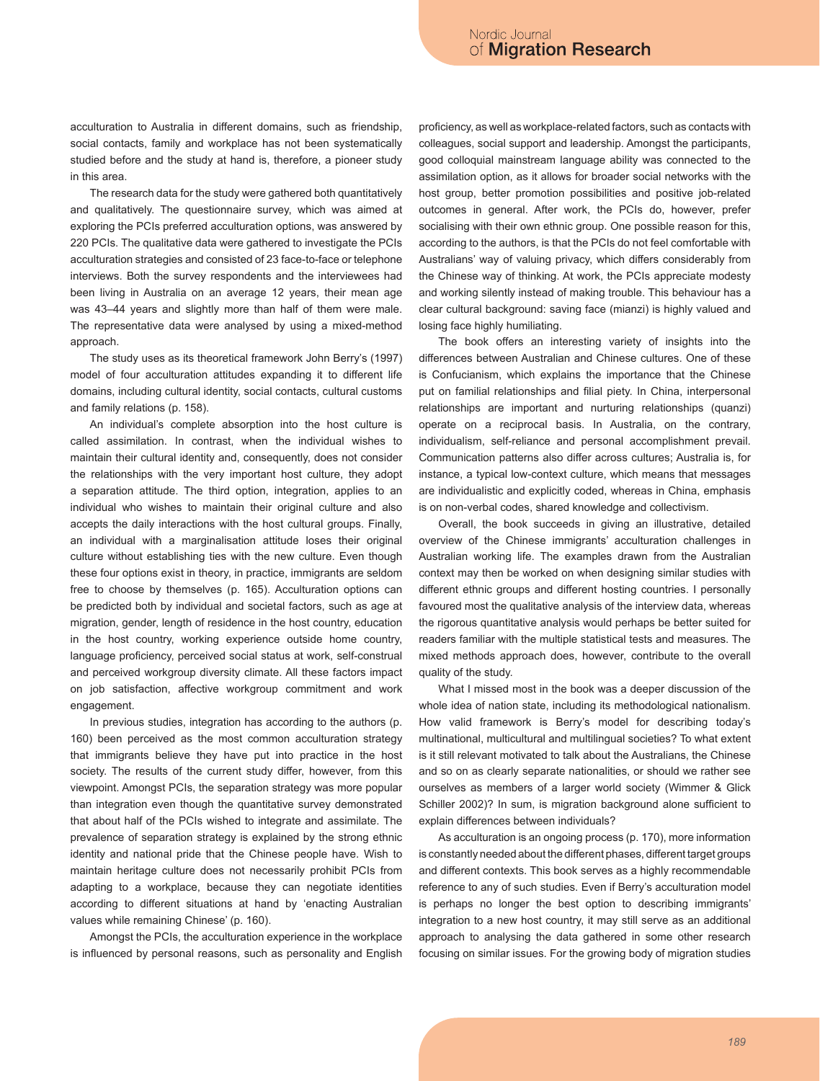acculturation to Australia in different domains, such as friendship, social contacts, family and workplace has not been systematically studied before and the study at hand is, therefore, a pioneer study in this area.

The research data for the study were gathered both quantitatively and qualitatively. The questionnaire survey, which was aimed at exploring the PCIs preferred acculturation options, was answered by 220 PCIs. The qualitative data were gathered to investigate the PCIs acculturation strategies and consisted of 23 face-to-face or telephone interviews. Both the survey respondents and the interviewees had been living in Australia on an average 12 years, their mean age was 43–44 years and slightly more than half of them were male. The representative data were analysed by using a mixed-method approach.

The study uses as its theoretical framework John Berry's (1997) model of four acculturation attitudes expanding it to different life domains, including cultural identity, social contacts, cultural customs and family relations (p. 158).

An individual's complete absorption into the host culture is called assimilation. In contrast, when the individual wishes to maintain their cultural identity and, consequently, does not consider the relationships with the very important host culture, they adopt a separation attitude. The third option, integration, applies to an individual who wishes to maintain their original culture and also accepts the daily interactions with the host cultural groups. Finally, an individual with a marginalisation attitude loses their original culture without establishing ties with the new culture. Even though these four options exist in theory, in practice, immigrants are seldom free to choose by themselves (p. 165). Acculturation options can be predicted both by individual and societal factors, such as age at migration, gender, length of residence in the host country, education in the host country, working experience outside home country, language proficiency, perceived social status at work, self-construal and perceived workgroup diversity climate. All these factors impact on job satisfaction, affective workgroup commitment and work engagement.

In previous studies, integration has according to the authors (p. 160) been perceived as the most common acculturation strategy that immigrants believe they have put into practice in the host society. The results of the current study differ, however, from this viewpoint. Amongst PCIs, the separation strategy was more popular than integration even though the quantitative survey demonstrated that about half of the PCIs wished to integrate and assimilate. The prevalence of separation strategy is explained by the strong ethnic identity and national pride that the Chinese people have. Wish to maintain heritage culture does not necessarily prohibit PCIs from adapting to a workplace, because they can negotiate identities according to different situations at hand by 'enacting Australian values while remaining Chinese' (p. 160).

Amongst the PCIs, the acculturation experience in the workplace is influenced by personal reasons, such as personality and English proficiency, as well as workplace-related factors, such as contacts with colleagues, social support and leadership. Amongst the participants, good colloquial mainstream language ability was connected to the assimilation option, as it allows for broader social networks with the host group, better promotion possibilities and positive job-related outcomes in general. After work, the PCIs do, however, prefer socialising with their own ethnic group. One possible reason for this, according to the authors, is that the PCIs do not feel comfortable with Australians' way of valuing privacy, which differs considerably from the Chinese way of thinking. At work, the PCIs appreciate modesty and working silently instead of making trouble. This behaviour has a clear cultural background: saving face (mianzi) is highly valued and losing face highly humiliating.

The book offers an interesting variety of insights into the differences between Australian and Chinese cultures. One of these is Confucianism, which explains the importance that the Chinese put on familial relationships and filial piety. In China, interpersonal relationships are important and nurturing relationships (quanzi) operate on a reciprocal basis. In Australia, on the contrary, individualism, self-reliance and personal accomplishment prevail. Communication patterns also differ across cultures; Australia is, for instance, a typical low-context culture, which means that messages are individualistic and explicitly coded, whereas in China, emphasis is on non-verbal codes, shared knowledge and collectivism.

Overall, the book succeeds in giving an illustrative, detailed overview of the Chinese immigrants' acculturation challenges in Australian working life. The examples drawn from the Australian context may then be worked on when designing similar studies with different ethnic groups and different hosting countries. I personally favoured most the qualitative analysis of the interview data, whereas the rigorous quantitative analysis would perhaps be better suited for readers familiar with the multiple statistical tests and measures. The mixed methods approach does, however, contribute to the overall quality of the study.

What I missed most in the book was a deeper discussion of the whole idea of nation state, including its methodological nationalism. How valid framework is Berry's model for describing today's multinational, multicultural and multilingual societies? To what extent is it still relevant motivated to talk about the Australians, the Chinese and so on as clearly separate nationalities, or should we rather see ourselves as members of a larger world society (Wimmer & Glick Schiller 2002)? In sum, is migration background alone sufficient to explain differences between individuals?

As acculturation is an ongoing process (p. 170), more information is constantly needed about the different phases, different target groups and different contexts. This book serves as a highly recommendable reference to any of such studies. Even if Berry's acculturation model is perhaps no longer the best option to describing immigrants' integration to a new host country, it may still serve as an additional approach to analysing the data gathered in some other research focusing on similar issues. For the growing body of migration studies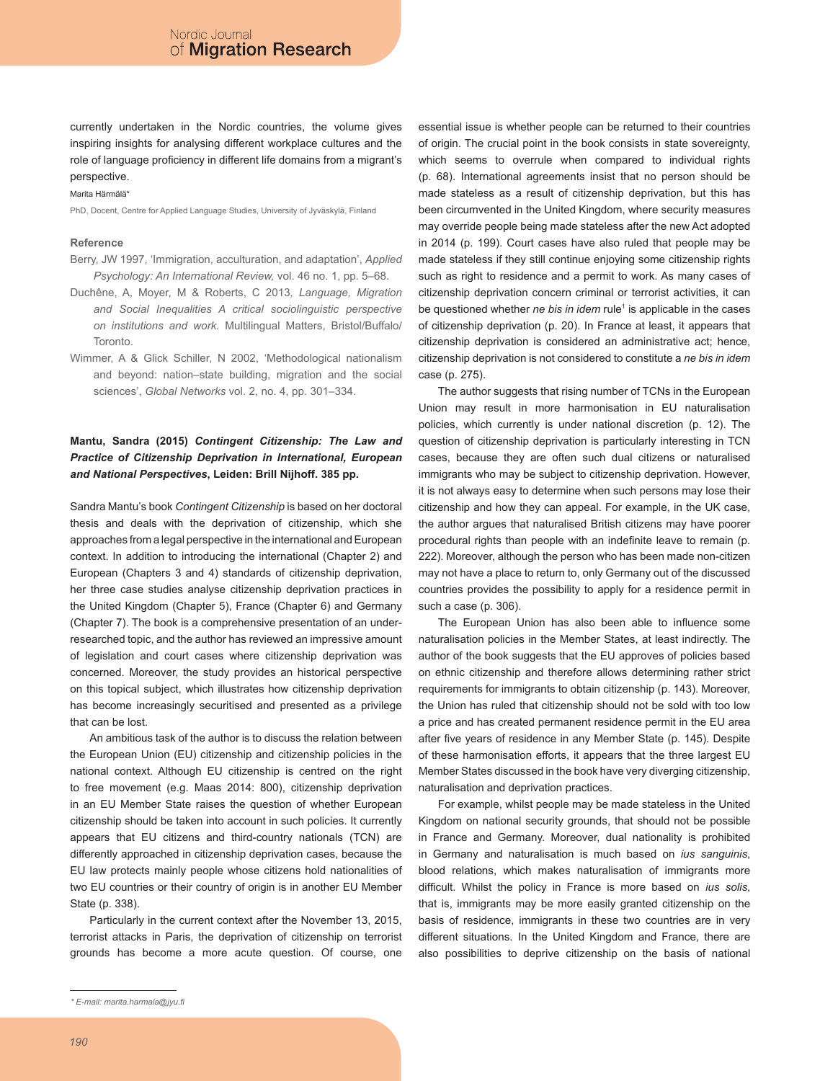currently undertaken in the Nordic countries, the volume gives inspiring insights for analysing different workplace cultures and the role of language proficiency in different life domains from a migrant's perspective.

#### Marita Härmälä\*

PhD, Docent, Centre for Applied Language Studies, University of Jyväskylä, Finland

#### **Reference**

- Berry, JW 1997, 'Immigration, acculturation, and adaptation', *Applied Psychology: An International Review,* vol. 46 no. 1, pp. 5–68.
- Duchêne, A, Moyer, M & Roberts, C 2013*, Language, Migration and Social Inequalities A critical sociolinguistic perspective on institutions and work.* Multilingual Matters, Bristol/Buffalo/ Toronto.
- Wimmer, A & Glick Schiller, N 2002, 'Methodological nationalism and beyond: nation–state building, migration and the social sciences', *Global Networks* vol. 2, no. 4, pp. 301–334.

# **Mantu, Sandra (2015)** *Contingent Citizenship: The Law and Practice of Citizenship Deprivation in International, European and National Perspectives***, Leiden: Brill Nijhoff. 385 pp.**

Sandra Mantu's book *Contingent Citizenship* is based on her doctoral thesis and deals with the deprivation of citizenship, which she approaches from a legal perspective in the international and European context. In addition to introducing the international (Chapter 2) and European (Chapters 3 and 4) standards of citizenship deprivation, her three case studies analyse citizenship deprivation practices in the United Kingdom (Chapter 5), France (Chapter 6) and Germany (Chapter 7). The book is a comprehensive presentation of an underresearched topic, and the author has reviewed an impressive amount of legislation and court cases where citizenship deprivation was concerned. Moreover, the study provides an historical perspective on this topical subject, which illustrates how citizenship deprivation has become increasingly securitised and presented as a privilege that can be lost.

An ambitious task of the author is to discuss the relation between the European Union (EU) citizenship and citizenship policies in the national context. Although EU citizenship is centred on the right to free movement (e.g. Maas 2014: 800), citizenship deprivation in an EU Member State raises the question of whether European citizenship should be taken into account in such policies. It currently appears that EU citizens and third-country nationals (TCN) are differently approached in citizenship deprivation cases, because the EU law protects mainly people whose citizens hold nationalities of two EU countries or their country of origin is in another EU Member State (p. 338).

Particularly in the current context after the November 13, 2015, terrorist attacks in Paris, the deprivation of citizenship on terrorist grounds has become a more acute question. Of course, one essential issue is whether people can be returned to their countries of origin. The crucial point in the book consists in state sovereignty, which seems to overrule when compared to individual rights (p. 68). International agreements insist that no person should be made stateless as a result of citizenship deprivation, but this has been circumvented in the United Kingdom, where security measures may override people being made stateless after the new Act adopted in 2014 (p. 199). Court cases have also ruled that people may be made stateless if they still continue enjoying some citizenship rights such as right to residence and a permit to work. As many cases of citizenship deprivation concern criminal or terrorist activities, it can be questioned whether *ne bis in idem* rule<sup>1</sup> is applicable in the cases of citizenship deprivation (p. 20). In France at least, it appears that citizenship deprivation is considered an administrative act; hence, citizenship deprivation is not considered to constitute a *ne bis in idem*  case (p. 275).

The author suggests that rising number of TCNs in the European Union may result in more harmonisation in EU naturalisation policies, which currently is under national discretion (p. 12). The question of citizenship deprivation is particularly interesting in TCN cases, because they are often such dual citizens or naturalised immigrants who may be subject to citizenship deprivation. However, it is not always easy to determine when such persons may lose their citizenship and how they can appeal. For example, in the UK case, the author argues that naturalised British citizens may have poorer procedural rights than people with an indefinite leave to remain (p. 222). Moreover, although the person who has been made non-citizen may not have a place to return to, only Germany out of the discussed countries provides the possibility to apply for a residence permit in such a case (p. 306).

The European Union has also been able to influence some naturalisation policies in the Member States, at least indirectly. The author of the book suggests that the EU approves of policies based on ethnic citizenship and therefore allows determining rather strict requirements for immigrants to obtain citizenship (p. 143). Moreover, the Union has ruled that citizenship should not be sold with too low a price and has created permanent residence permit in the EU area after five years of residence in any Member State (p. 145). Despite of these harmonisation efforts, it appears that the three largest EU Member States discussed in the book have very diverging citizenship, naturalisation and deprivation practices.

For example, whilst people may be made stateless in the United Kingdom on national security grounds, that should not be possible in France and Germany. Moreover, dual nationality is prohibited in Germany and naturalisation is much based on *ius sanguinis*, blood relations, which makes naturalisation of immigrants more difficult. Whilst the policy in France is more based on *ius solis*, that is, immigrants may be more easily granted citizenship on the basis of residence, immigrants in these two countries are in very different situations. In the United Kingdom and France, there are also possibilities to deprive citizenship on the basis of national

*<sup>\*</sup> E-mail: marita.harmala@jyu.fi*